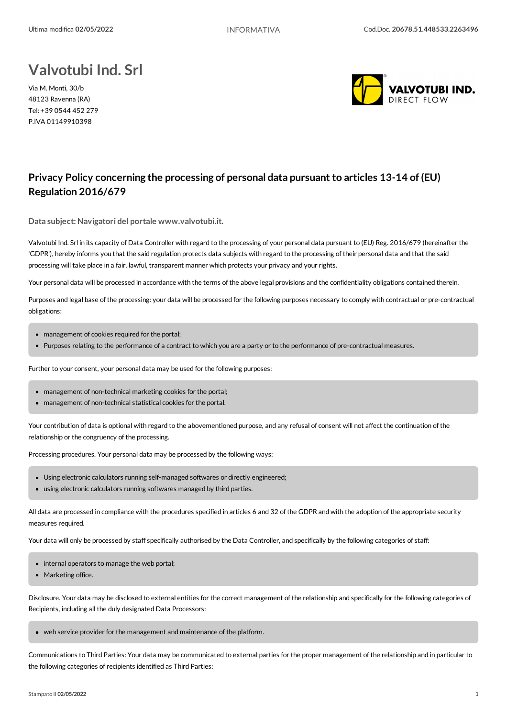## **Valvotubi Ind. Srl**

Via M. Monti, 30/b 48123 Ravenna (RA) Tel: +39 0544 452 279 P.IVA 01149910398



## **Privacy Policy concerning the processing of personal data pursuant to articles 13-14 of (EU) Regulation 2016/679**

**Data subject:Navigatori del portale www.valvotubi.it.**

Valvotubi Ind. Srl in its capacity of Data Controller with regard to the processing of your personal data pursuant to (EU) Reg. 2016/679 (hereinafter the 'GDPR'), hereby informs you that the said regulation protects data subjects with regard to the processing of their personal data and that the said processing will take place in a fair, lawful, transparent manner which protects your privacy and your rights.

Your personal data will be processed in accordance with the terms of the above legal provisions and the confidentiality obligations contained therein.

Purposes and legal base of the processing: your data will be processed for the following purposes necessary to comply with contractual or pre-contractual obligations:

- management of cookies required for the portal;
- Purposes relating to the performance of a contract to which you are a party or to the performance of pre-contractualmeasures.

Further to your consent, your personal data may be used for the following purposes:

- management of non-technical marketing cookies for the portal;
- management of non-technical statistical cookies for the portal.

Your contribution of data is optional with regard to the abovementioned purpose, and any refusal of consent will not affect the continuation of the relationship or the congruency of the processing.

Processing procedures. Your personal data may be processed by the following ways:

- Using electronic calculators running self-managed softwares or directly engineered;
- using electronic calculators running softwares managed by third parties.

All data are processed in compliance with the procedures specified in articles 6 and 32 of the GDPR and with the adoption of the appropriate security measures required.

Your data will only be processed by staff specifically authorised by the Data Controller, and specifically by the following categories of staff:

- internal operators to manage the web portal;
- Marketing office.

Disclosure. Your data may be disclosed to external entities for the correct management of the relationship and specifically for the following categories of Recipients, including all the duly designated Data Processors:

• web service provider for the management and maintenance of the platform.

Communications to Third Parties: Your data may be communicated to external parties for the proper management of the relationship and in particular to the following categories of recipients identified as Third Parties: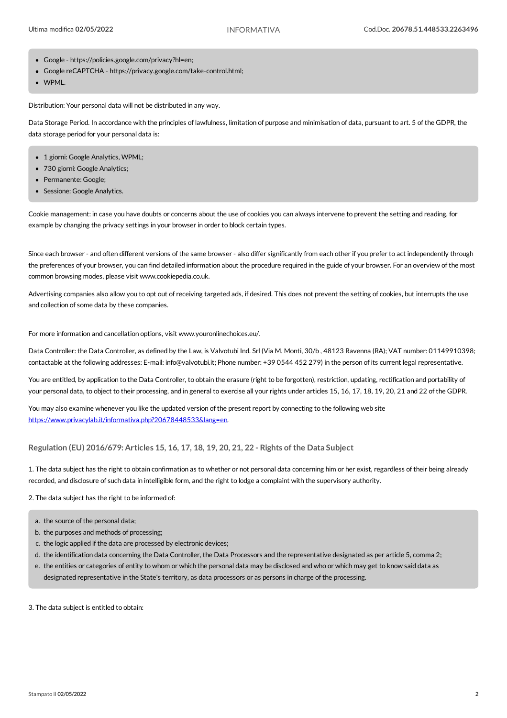- Google https://policies.google.com/privacy?hl=en;
- Google reCAPTCHA https://privacy.google.com/take-control.html;
- WPML.

Distribution: Your personal data will not be distributed in any way.

Data Storage Period. In accordance with the principles of lawfulness, limitation of purpose and minimisation of data, pursuant to art. 5 of the GDPR, the data storage period for your personal data is:

- 1 giorni: Google Analytics, WPML;
- 730 giorni: Google Analytics:
- Permanente: Google;
- Sessione: Google Analytics.

Cookie management: in case you have doubts orconcerns about the use ofcookies you can always intervene to prevent the setting and reading, for example by changing the privacy settings in your browser in order to block certain types.

Since each browser - and often different versions of the same browser - also differ significantly from each other if you prefer to act independently through the preferences of your browser, you can find detailed information about the procedure required in the guide of your browser. For an overview of the most common browsing modes, please visit www.cookiepedia.co.uk.

Advertising companies also allow you to opt out ofreceiving targeted ads, if desired. This does not prevent the setting ofcookies, but interrupts the use and collection of some data by these companies.

For more information and cancellation options, visit www.youronlinechoices.eu/.

Data Controller: the Data Controller, as defined by the Law, is Valvotubi Ind. Srl (Via M. Monti, 30/b , 48123 Ravenna (RA); VAT number: 01149910398; contactable at the following addresses: E-mail: info@valvotubi.it; Phone number: +39 0544 452 279) in the person of its current legalrepresentative.

You are entitled, by application to the Data Controller, to obtain the erasure (right to be forgotten), restriction, updating, rectification and portability of your personal data, to object to their processing, and in general to exercise all your rights under articles 15, 16, 17, 18, 19, 20, 21 and 22 of the GDPR.

Youmay also examine whenever you like the updated version of the present report by connecting to the following web site <https://www.privacylab.it/informativa.php?20678448533&lang=en>.

**Regulation (EU) 2016/679: Articles 15, 16, 17, 18, 19, 20, 21, 22 - Rights of the Data Subject**

1. The data subject has the right to obtain confirmation as to whether or not personal data concerning him or her exist, regardless of their being already recorded, and disclosure ofsuch data in intelligible form, and the right to lodge a complaint with the supervisory authority.

2. The data subject has the right to be informed of:

- a. the source of the personal data;
- b. the purposes and methods of processing;
- c. the logic applied if the data are processed by electronic devices;
- d. the identification data concerning the Data Controller, the Data Processors and the representative designated as per article 5, comma 2;
- e. the entities or categories of entity to whom or which the personal data may be disclosed and who or which may get to know said data as designated representative in the State's territory, as data processors or as persons in charge of the processing.

3. The data subject is entitled to obtain: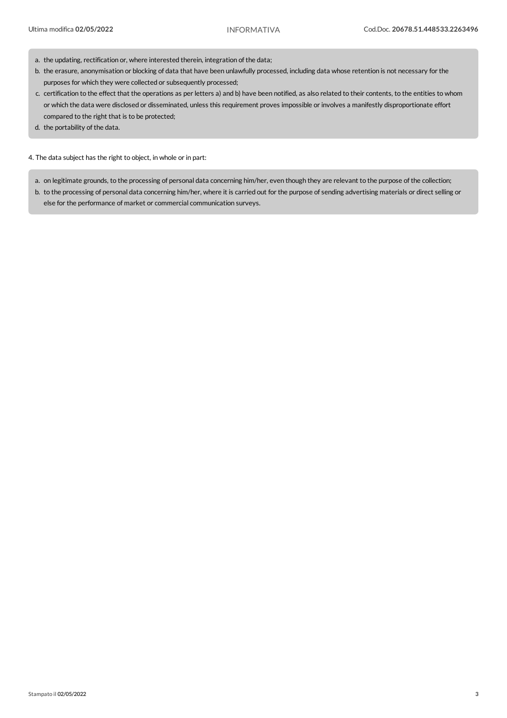- a. the updating, rectification or, where interested therein, integration of the data;
- b. the erasure, anonymisation or blocking of data that have been unlawfully processed, including data whose retention is not necessary for the purposes for which they were collected or subsequently processed;
- c. certification to the effect that the operations as per letters a) and b) have been notified, as also related to their contents, to the entities to whom or which the data were disclosed or disseminated, unless this requirement proves impossible or involves a manifestly disproportionate effort compared to the right that is to be protected;
- d. the portability of the data.

4. The data subject has the right to object, in whole or in part:

a. on legitimate grounds, to the processing of personal data concerning him/her, even though they are relevant to the purpose of the collection;

b. to the processing of personal data concerning him/her, where it is carried out for the purpose of sending advertising materials or direct selling or else for the performance of market or commercial communication surveys.